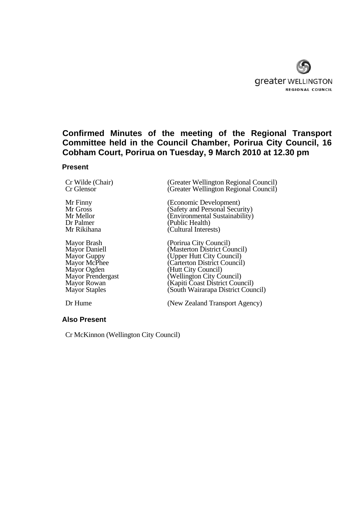

# **Confirmed Minutes of the meeting of the Regional Transport Committee held in the Council Chamber, Porirua City Council, 16 Cobham Court, Porirua on Tuesday, 9 March 2010 at 12.30 pm**

### **Present**

Mayor Ogden (Hutt City Council)<br>Mayor Prendergast (Wellington City Co

Cr Wilde (Chair) (Greater Wellington Regional Council)<br>
Cr Glensor (Greater Wellington Regional Council)  $(C)$  Greater Wellington Regional Council)

Mr Finny (Economic Development)<br>Mr Gross (Safety and Personal Secu Mr Gross (Safety and Personal Security)<br>Mr Mellor (Environmental Sustainability) Mr Mellor (Environmental Sustainability)<br>Dr Palmer (Public Health) Dr Palmer (Public Health)<br>Mr Rikihana (Cultural Intere  $\dot{(Cultural Interests)}$ 

Mayor Brash (Porirua City Council)<br>Mayor Daniell (Masterton District Co Mayor Daniell (Masterton District Council)<br>
Mayor Guppy (Upper Hutt City Council) Mayor Guppy (Upper Hutt City Council)<br>
Mayor McPhee (Carterton District Council) Mayor McPhee (Carterton District Council)<br>Mayor Ogden (Hutt City Council) Mayor Prendergast (Wellington City Council)<br>Mayor Rowan (Kapiti Coast District Cour Mayor Rowan (Kapiti Coast District Council)<br>
Mayor Staples (South Wairarapa District Coun (South Wairarapa District Council)

Dr Hume (New Zealand Transport Agency)

**Also Present** 

Cr McKinnon (Wellington City Council)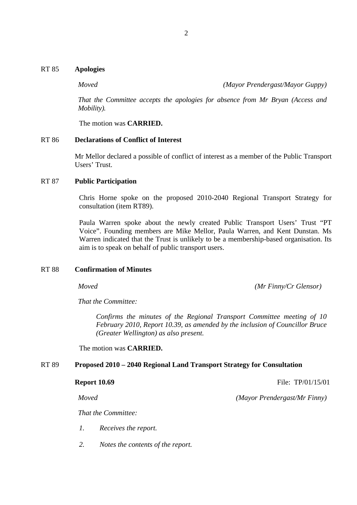*Moved (Mayor Prendergast/Mayor Guppy)*

*That the Committee accepts the apologies for absence from Mr Bryan (Access and Mobility).*

The motion was **CARRIED.**

### RT 86 **Declarations of Conflict of Interest**

Mr Mellor declared a possible of conflict of interest as a member of the Public Transport Users' Trust.

# RT 87 **Public Participation**

Chris Horne spoke on the proposed 2010-2040 Regional Transport Strategy for consultation (item RT89).

Paula Warren spoke about the newly created Public Transport Users' Trust "PT Voice". Founding members are Mike Mellor, Paula Warren, and Kent Dunstan. Ms Warren indicated that the Trust is unlikely to be a membership-based organisation. Its aim is to speak on behalf of public transport users.

# RT 88 **Confirmation of Minutes**

*Moved (Mr Finny/Cr Glensor)*

*That the Committee:*

 *Confirms the minutes of the Regional Transport Committee meeting of 10 February 2010, Report 10.39, as amended by the inclusion of Councillor Bruce (Greater Wellington) as also present.*

The motion was **CARRIED.** 

# RT 89 **Proposed 2010 – 2040 Regional Land Transport Strategy for Consultation**

**Report 10.69** File: TP/01/15/01

*Moved (Mayor Prendergast/Mr Finny)*

*That the Committee:*

- *1. Receives the report.*
- *2. Notes the contents of the report.*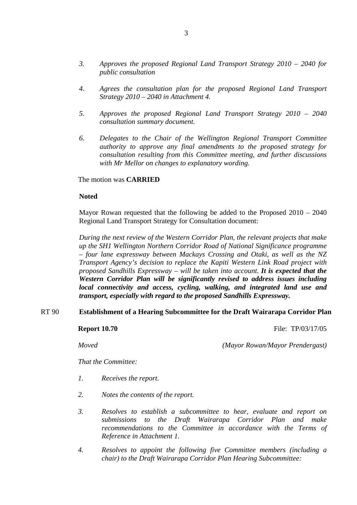- *3. Approves the proposed Regional Land Transport Strategy 2010 2040 for public consultation*
- *4. Agrees the consultation plan for the proposed Regional Land Transport Strategy 2010 – 2040 in Attachment 4.*
- *5. Approves the proposed Regional Land Transport Strategy 2010 2040 consultation summary document.*
- *6. Delegates to the Chair of the Wellington Regional Transport Committee authority to approve any final amendments to the proposed strategy for consultation resulting from this Committee meeting, and further discussions with Mr Mellor on changes to explanatory wording.*

The motion was **CARRIED** 

### **Noted**

Mayor Rowan requested that the following be added to the Proposed 2010 – 2040 Regional Land Transport Strategy for Consultation document:

*During the next review of the Western Corridor Plan, the relevant projects that make up the SH1 Wellington Northern Corridor Road of National Significance programme – four lane expressway between Mackays Crossing and Otaki, as well as the NZ Transport Agency's decision to replace the Kapiti Western Link Road project with proposed Sandhills Expressway – will be taken into account. It is expected that the Western Corridor Plan will be significantly revised to address issues including local connectivity and access, cycling, walking, and integrated land use and transport, especially with regard to the proposed Sandhills Expressway.*

### RT 90 **Establishment of a Hearing Subcommittee for the Draft Wairarapa Corridor Plan**

**Report 10.70 File: TP**/03/17/05

*Moved (Mayor Rowan/Mayor Prendergast)*

*That the Committee:*

- *1. Receives the report.*
- *2. Notes the contents of the report.*
- *3. Resolves to establish a subcommittee to hear, evaluate and report on submissions to the Draft Wairarapa Corridor Plan and make recommendations to the Committee in accordance with the Terms of Reference in Attachment 1.*
- *4. Resolves to appoint the following five Committee members (including a chair) to the Draft Wairarapa Corridor Plan Hearing Subcommittee:*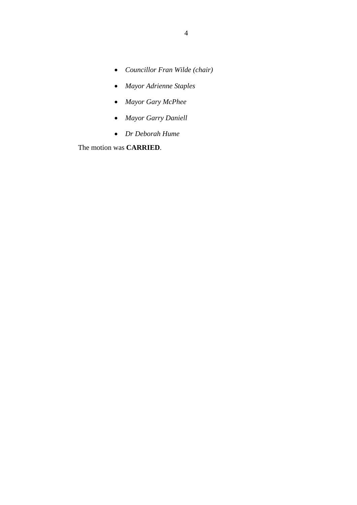- *Councillor Fran Wilde (chair)*
- *Mayor Adrienne Staples*
- *Mayor Gary McPhee*
- *Mayor Garry Daniell*
- *Dr Deborah Hume*

The motion was **CARRIED**.